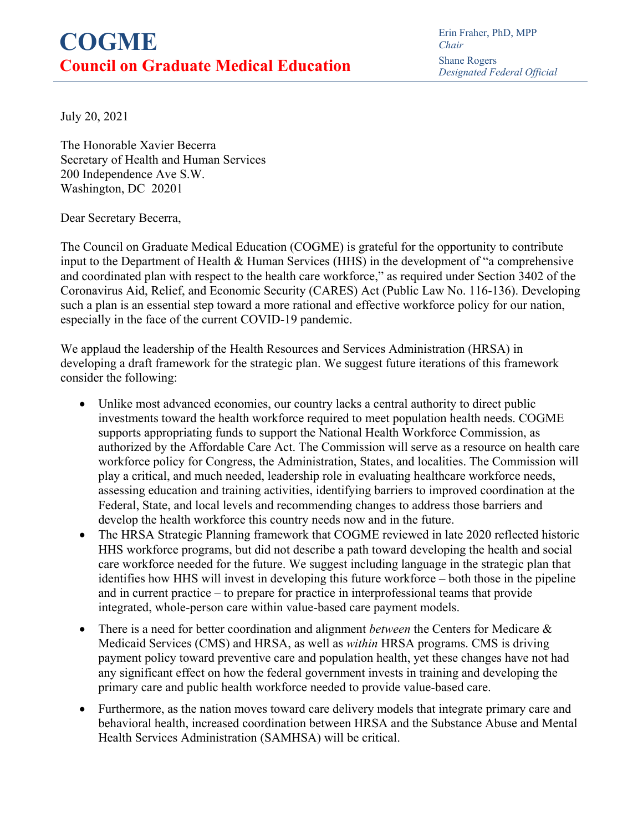## **COGME Council on Graduate Medical Education**

Erin Fraher, PhD, MPP *Chair* Shane Rogers *Designated Federal Official*

July 20, 2021

The Honorable Xavier Becerra Secretary of Health and Human Services 200 Independence Ave S.W. Washington, DC 20201

Dear Secretary Becerra,

The Council on Graduate Medical Education (COGME) is grateful for the opportunity to contribute input to the Department of Health & Human Services (HHS) in the development of "a comprehensive and coordinated plan with respect to the health care workforce," as required under Section 3402 of the Coronavirus Aid, Relief, and Economic Security (CARES) Act (Public Law No. 116-136). Developing such a plan is an essential step toward a more rational and effective workforce policy for our nation, especially in the face of the current COVID-19 pandemic.

We applaud the leadership of the Health Resources and Services Administration (HRSA) in developing a draft framework for the strategic plan. We suggest future iterations of this framework consider the following:

- Unlike most advanced economies, our country lacks a central authority to direct public investments toward the health workforce required to meet population health needs. COGME supports appropriating funds to support the National Health Workforce Commission, as authorized by the Affordable Care Act. The Commission will serve as a resource on health care workforce policy for Congress, the Administration, States, and localities. The Commission will play a critical, and much needed, leadership role in evaluating healthcare workforce needs, assessing education and training activities, identifying barriers to improved coordination at the Federal, State, and local levels and recommending changes to address those barriers and develop the health workforce this country needs now and in the future.
- The HRSA Strategic Planning framework that COGME reviewed in late 2020 reflected historic HHS workforce programs, but did not describe a path toward developing the health and social care workforce needed for the future. We suggest including language in the strategic plan that identifies how HHS will invest in developing this future workforce – both those in the pipeline and in current practice – to prepare for practice in interprofessional teams that provide integrated, whole-person care within value-based care payment models.
- There is a need for better coordination and alignment *between* the Centers for Medicare & Medicaid Services (CMS) and HRSA, as well as *within* HRSA programs. CMS is driving payment policy toward preventive care and population health, yet these changes have not had any significant effect on how the federal government invests in training and developing the primary care and public health workforce needed to provide value-based care.
- Furthermore, as the nation moves toward care delivery models that integrate primary care and behavioral health, increased coordination between HRSA and the Substance Abuse and Mental Health Services Administration (SAMHSA) will be critical.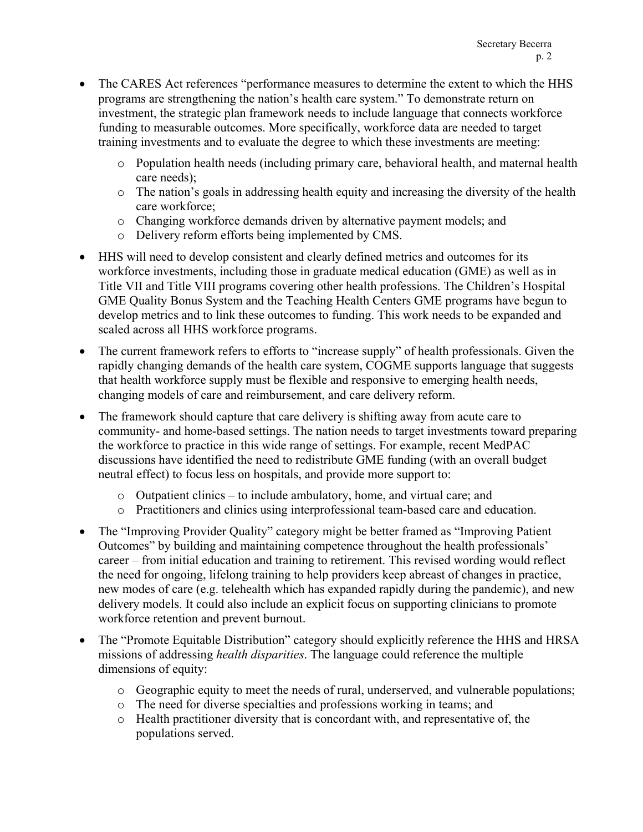- The CARES Act references "performance measures to determine the extent to which the HHS programs are strengthening the nation's health care system." To demonstrate return on investment, the strategic plan framework needs to include language that connects workforce funding to measurable outcomes. More specifically, workforce data are needed to target training investments and to evaluate the degree to which these investments are meeting:
	- $\circ$  Population health needs (including primary care, behavioral health, and maternal health care needs);
	- o The nation's goals in addressing health equity and increasing the diversity of the health care workforce;
	- o Changing workforce demands driven by alternative payment models; and
	- o Delivery reform efforts being implemented by CMS.
- HHS will need to develop consistent and clearly defined metrics and outcomes for its workforce investments, including those in graduate medical education (GME) as well as in Title VII and Title VIII programs covering other health professions. The Children's Hospital GME Quality Bonus System and the Teaching Health Centers GME programs have begun to develop metrics and to link these outcomes to funding. This work needs to be expanded and scaled across all HHS workforce programs.
- The current framework refers to efforts to "increase supply" of health professionals. Given the rapidly changing demands of the health care system, COGME supports language that suggests that health workforce supply must be flexible and responsive to emerging health needs, changing models of care and reimbursement, and care delivery reform.
- The framework should capture that care delivery is shifting away from acute care to community- and home-based settings. The nation needs to target investments toward preparing the workforce to practice in this wide range of settings. For example, recent MedPAC discussions have identified the need to redistribute GME funding (with an overall budget neutral effect) to focus less on hospitals, and provide more support to:
	- o Outpatient clinics to include ambulatory, home, and virtual care; and
	- o Practitioners and clinics using interprofessional team-based care and education.
- The "Improving Provider Quality" category might be better framed as "Improving Patient Outcomes" by building and maintaining competence throughout the health professionals' career – from initial education and training to retirement. This revised wording would reflect the need for ongoing, lifelong training to help providers keep abreast of changes in practice, new modes of care (e.g. telehealth which has expanded rapidly during the pandemic), and new delivery models. It could also include an explicit focus on supporting clinicians to promote workforce retention and prevent burnout.
- The "Promote Equitable Distribution" category should explicitly reference the HHS and HRSA missions of addressing *health disparities*. The language could reference the multiple dimensions of equity:
	- o Geographic equity to meet the needs of rural, underserved, and vulnerable populations;
	- o The need for diverse specialties and professions working in teams; and
	- $\circ$  Health practitioner diversity that is concordant with, and representative of, the populations served.